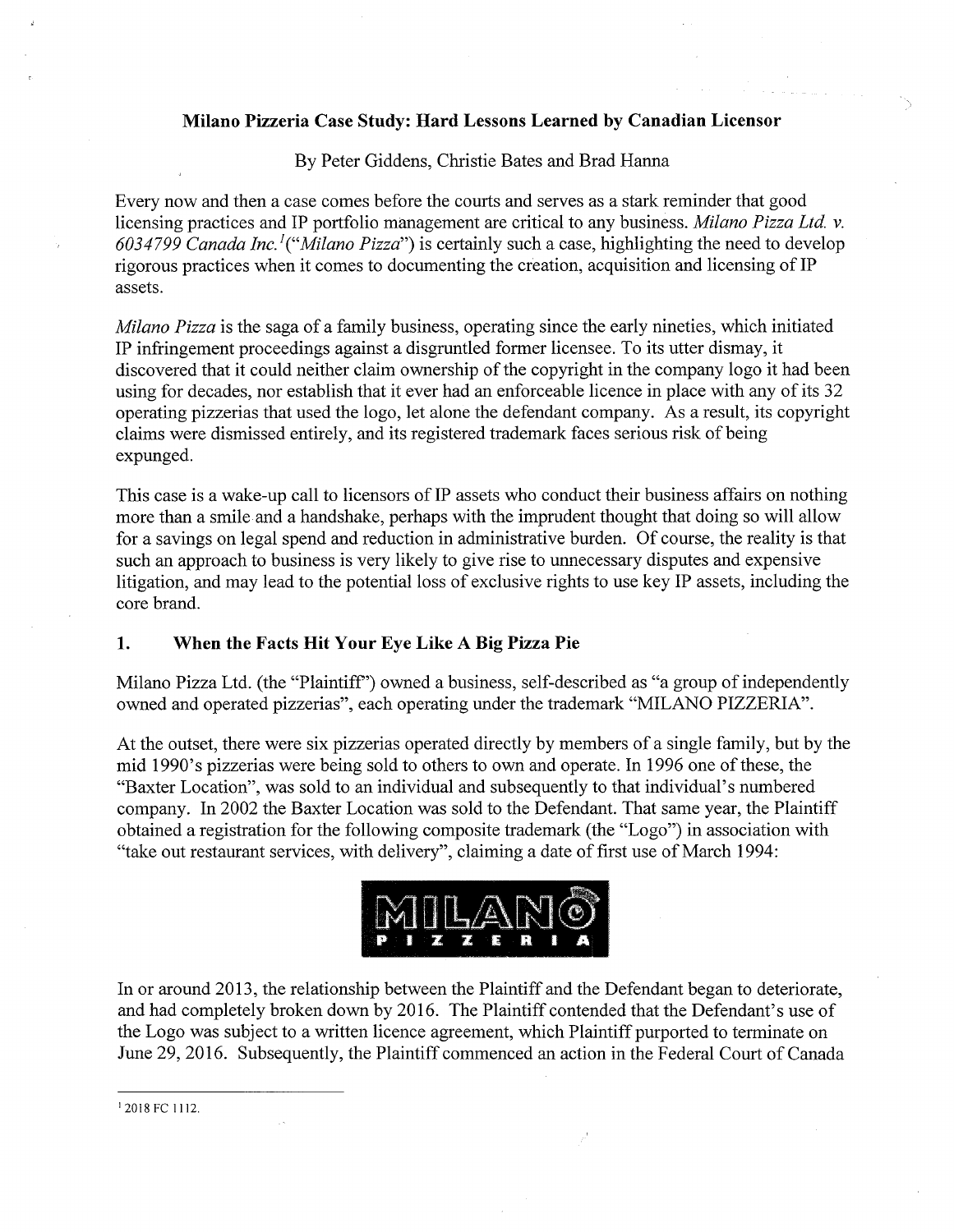#### **Milano Pizzeria Case Study: Hard Lessons Learned by Canadian Licensor**

By Peter Giddens, Christie Bates and Brad Hanna

Every now and then a case comes before the courts and serves as a stark reminder that good licensing practices and IP portfolio management are critical to any business. *Milano Pizza Ltd.* v. *6034799 Canada Inc.'{"'Milano Pizza"')* is certainly such a case, highlighting the need to develop rigorous practices when it comes to documenting the creation, acquisition and licensing of IP assets.

*Milano Pizza* is the saga of a family business, operating since the early nineties, which initiated IP infringement proceedings against a disgruntled former licensee. To its utter dismay, it discovered that it could neither claim ownership of the copyright in the company logo it had been using for decades, nor establish that it ever had an enforceable licence in place with any of its 32 operating pizzerias that used the logo, let alone the defendant company. As a result, its copyright claims were dismissed entirely, and its registered trademark faces serious risk of being expunged.

This case is a wake-up call to licensors of IP assets who conduct their business affairs on nothing more than a smile and a handshake, perhaps with the imprudent thought that doing so will allow for a savings on legal spend and reduction in administrative burden. Of course, the reality is that such an approach to business is very likely to give rise to unnecessary disputes and expensive litigation, and may lead to the potential loss of exclusive rights to use key IP assets, including the core brand.

### **1. When the Facts Hit Your Eye Like A Big Pizza Pie**

Milano Pizza Ltd. (the "Plaintiff") owned a business, self-described as "a group of independently owned and operated pizzerias", each operating under the trademark "MILANO PIZZERIA".

At the outset, there were six pizzerias operated directly by members of a single family, but by the mid 1990's pizzerias were being sold to others to own and operate. In 1996 one of these, the "Baxter Location", was sold to an individual and subsequently to that individual's numbered company. In 2002 the Baxter Location was sold to the Defendant. That same year, the Plaintiff obtained a registration for the following composite trademark (the "Logo") in association with "take out restaurant services, with delivery", claiming a date of first use of March 1994:



In or around 2013, the relationship between the Plaintiff and the Defendant began to deteriorate, and had completely broken down by 2016. The Plaintiff contended that the Defendant's use of the Logo was subject to a written licence agreement, which Plaintiff purported to terminate on June 29, 2016. Subsequently, the Plaintiff commenced an action in the Federal Court of Canada

<sup>&</sup>lt;sup>1</sup> 2018 FC 1112.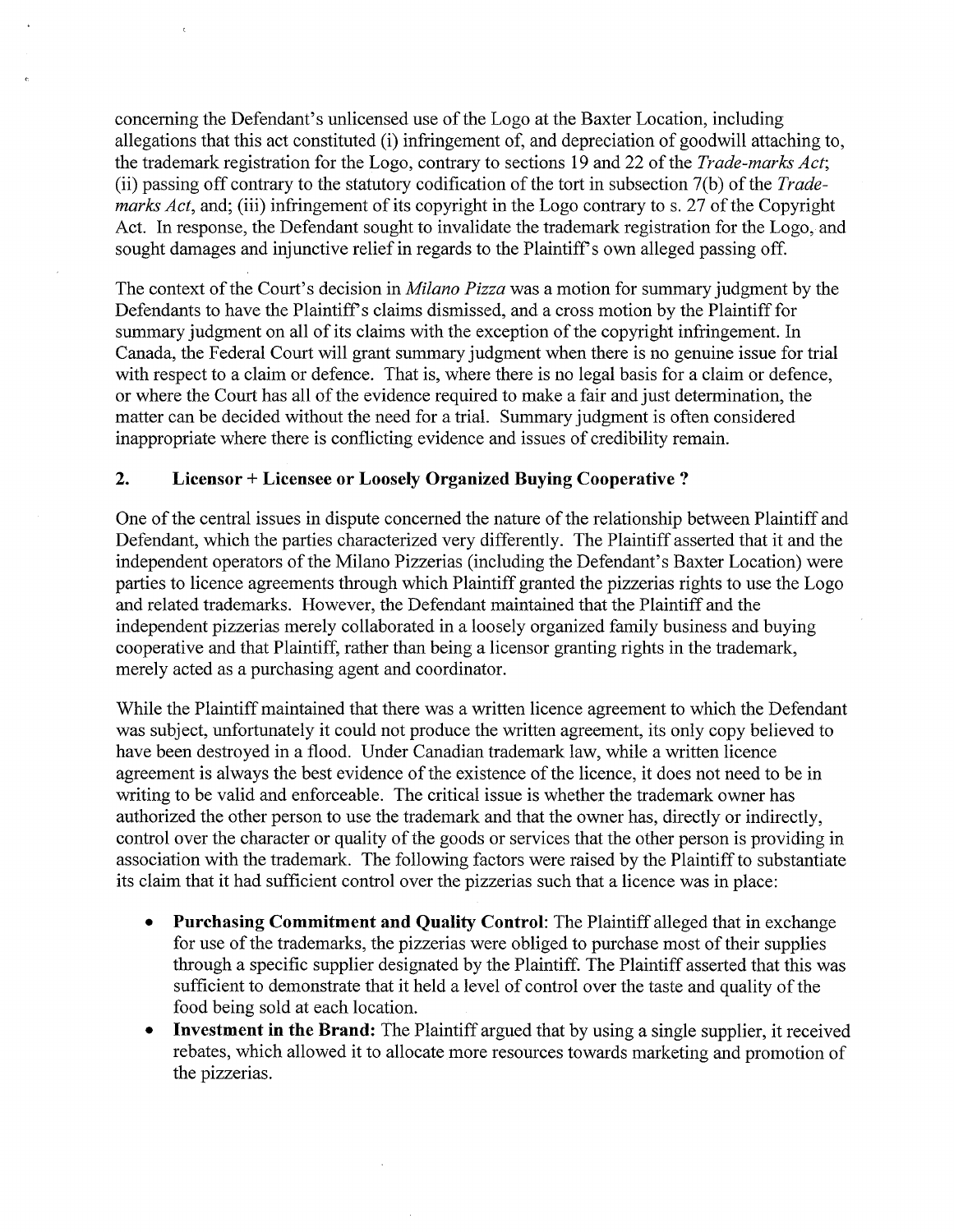concerning the Defendant's unlicensed use of the Logo at the Baxter Location, including allegations that this act constituted (i) infringement of, and depreciation of goodwill attaching to, the trademark registration for the Logo, contrary to sections 19 and 22 ofthe *Trade-marks Act;* (ii) passing off contrary to the statutory codification of the tort in subsection 7(b) of the *Trademarks Act*, and; (iii) infringement of its copyright in the Logo contrary to s. 27 of the Copyright Act. In response, the Defendant sought to invalidate the trademark registration for the Logo, and sought damages and injunctive relief in regards to the Plaintiff's own alleged passing off.

The context of the Court's decision in *Milano Pizza* was a motion for summary judgment by the Defendants to have the Plaintiff's claims dismissed, and a cross motion by the Plaintiff for summary judgment on all of its claims with the exception of the copyright infringement. In Canada, the Federal Court will grant summary judgment when there is no genuine issue for trial with respect to a claim or defence. That is, where there is no legal basis for a claim or defence, or where the Court has all of the evidence required to make a fair and just determination, the matter can be decided without the need for a trial. Summary judgment is often considered inappropriate where there is conflicting evidence and issues of credibility remain.

### **2. Licensor + Licensee or Loosely Organized Buying Cooperative ?**

One of the central issues in dispute concerned the nature of the relationship between Plaintiff and Defendant, which the parties charaeterized very differently. The Plaintiff asserted that it and the independent operators of the Milano Pizzerias (including the Defendant's Baxter Location) were parties to licence agreements through which Plaintiff granted the pizzerias rights to use the Logo and related trademarks. However, the Defendant maintained that the Plaintiff and the independent pizzerias merely collaborated in a loosely organized family business and buying cooperative and that Plaintiff, rather than being a licensor granting rights in the trademark, merely acted as a purchasing agent and coordinator.

While the Plaintiff maintained that there was a written licence agreement to which the Defendant was subject, unfortunately it could not produce the written agreement, its only copy believed to have been destroyed in a flood. Under Canadian trademark law, while a written licence agreement is always the best evidence of the existence of the licence, it does not need to be in writing to be valid and enforceable. The critical issue is whether the trademark owner has authorized the other person to use the trademark and that the owner has, directly or indirectly, control over the character or quality of the goods or services that the other person is providing in association with the trademark. The following factors were raised by the Plaintiffto substantiate its claim that it had sufficient control over the pizzerias such that a licence was in place:

- **• Purchasing Commitment and Quality Control:** The Plaintiff alleged that in exchange for use of the trademarks, the pizzerias were obliged to purchase most of their supplies through a specific supplier designated by the Plaintiff. The Plaintiff asserted that this was sufficient to demonstrate that it held a level of control over the taste and quality of the food being sold at each location.
- **• Investment in the Brand:** The Plaintiff argued that by using a single supplier, it received rebates, which allowed it to allocate more resources towards marketing and promotion of the pizzerias.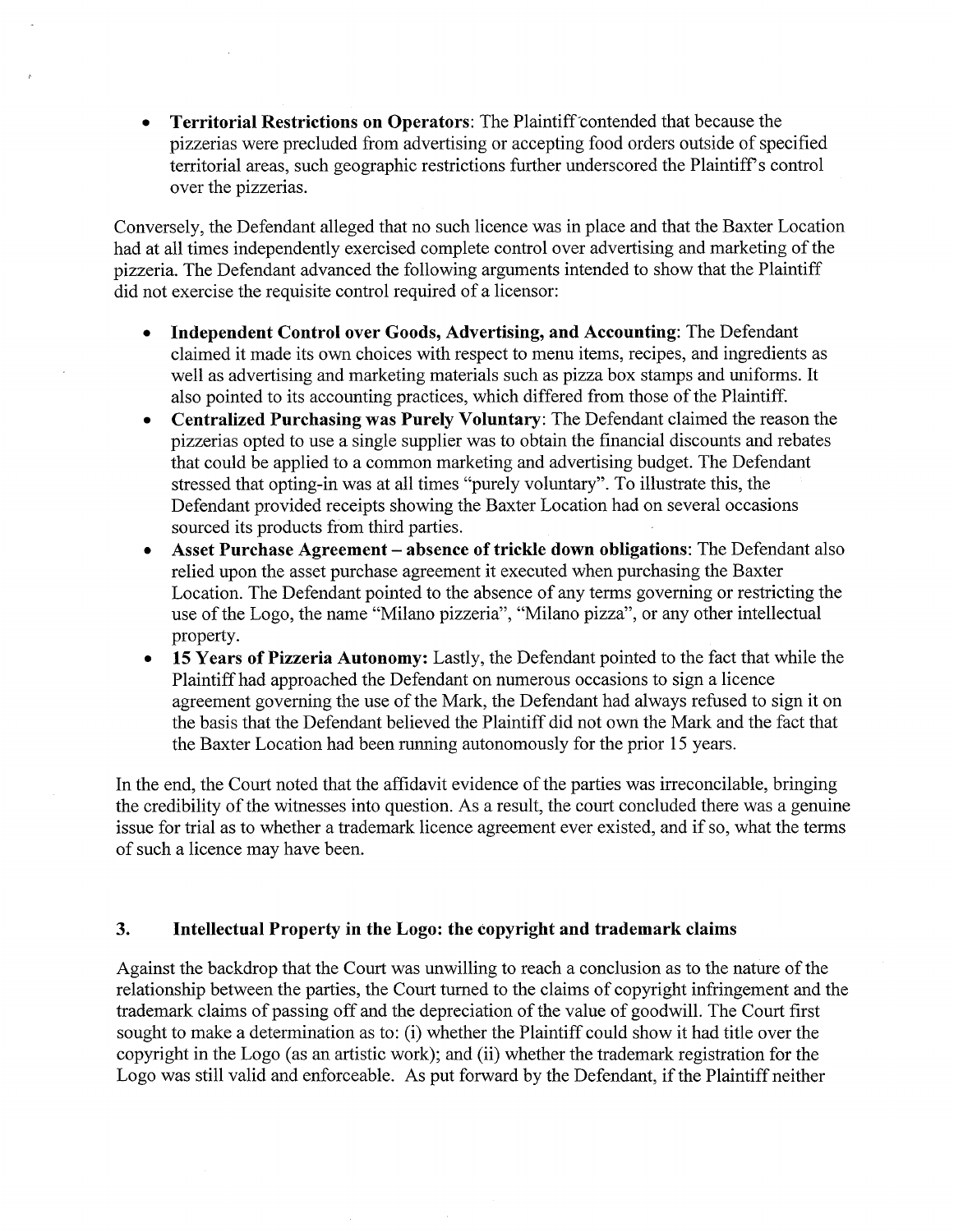**• Territorial Restrictions on Operators:** The Plaintiff contended that because the pizzerias were precluded from advertising or accepting food orders outside of specified territorial areas, such geographic restrictions further underscored the Plaintiff's control over the pizzerias.

Conversely, the Defendant alleged that no such licence was in place and that the Baxter Location had at all times independently exercised complete control over advertising and marketing of the pizzeria. The Defendant advanced the following arguments intended to show that the Plaintiff did not exercise the requisite control required of a licensor:

- **• Independent Control over Goods, Advertising, and Accounting:** The Defendant claimed it made its ovm choices with respect to menu items, recipes, and ingredients as well as advertising and marketing materials such as pizza box stamps and uniforms. It also pointed to its accounting practices, which differed from those of the Plaintiff.
- **Centralized Purchasing was Purely Voluntary:** The Defendant claimed the reason the pizzerias opted to use a single supplier was to obtain the financial discounts and rebates that could be applied to a common marketing and advertising budget. The Defendant stressed that opting-in was at all times "purely voluntary". To illustrate this, the Defendant provided receipts showing the Baxter Location had on several occasions sourced its products from third parties.
- **Asset Purchase Agreement absence** of trickle down obligations: The Defendant also relied upon the asset purchase agreement it executed when purchasing the Baxter Location. The Defendant pointed to the absence of any terms governing or restricting the use of the Logo, the name "Milano pizzeria", "Milano pizza", or any other intellectual property.
- **• 15 Years of Pizzeria Autonomy:** Lastly, the Defendant pointed to the fact that while the Plaintiff had approached the Defendant on numerous occasions to sign a licence agreement governing the use of the Mark, the Defendant had always refused to sign it on the basis that the Defendant believed the Plaintiff did not own the Mark and the fact that the Baxter Location had been running autonomously for the prior 15 years.

In the end, the Court noted that the affidavit evidence of the parties was irreconcilable, bringing the credibility of the witnesses into question. As a result, the court concluded there was a genuine issue for trial as to whether a trademark licence agreement ever existed, and if so, what the terms of such a licence may have been.

### **3. Intellectual Property in the Logo: the copyright and trademark claims**

Against the backdrop that the Court was unwilling to reach a conclusion as to the nature of the relationship between the parties, the Court turned to the claims of copyright infringement and the trademark claims of passing off and the depreciation of the value of goodwill. The Court first sought to make a determination as to: (i) whether the Plaintiff could show it had title over the copyright in the Logo (as an artistic work); and (ii) whether the trademark registration for the Logo was still valid and enforceable. As put forward by the Defendant, if the Plaintiff neither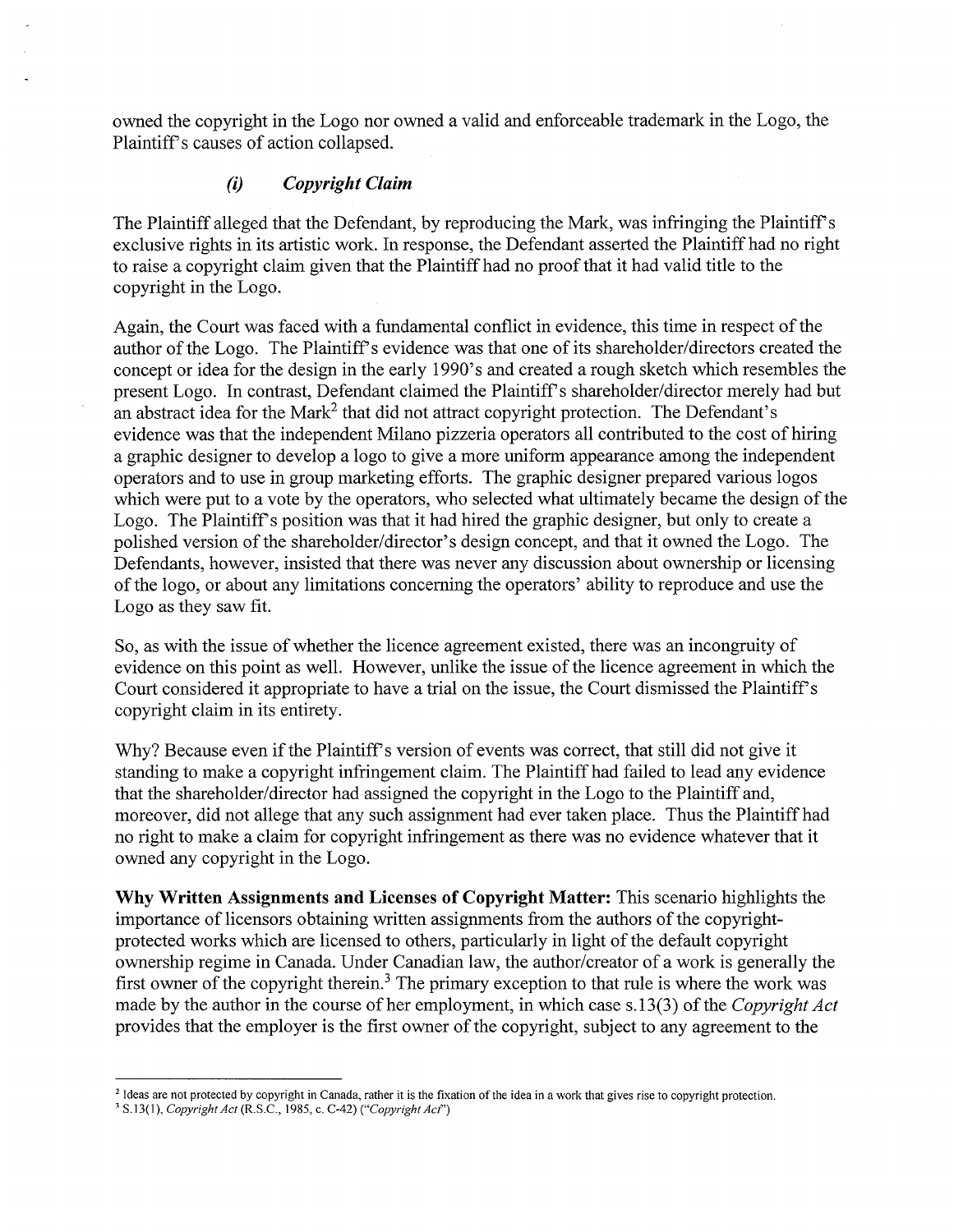owned the copyright in the Logo nor owned a valid and enforceable trademark in the Logo, the Plaintiff's causes of action collapsed.

### *(i) Copyright Claim*

The Plaintiff alleged that the Defendant, by reproducing the Mark, was infringing the Plaintiff's exclusive rights in its artistic work. In response, the Defendant asserted the Plaintiff had no right to raise a copyright claim given that the Plaintiff had no proof that it had valid title to the copyright in the Logo.

Again, the Court was faced with a fundamental conflict in evidence, this time in respect of the author of the Logo. The Plaintiff's evidence was that one of its shareholder/directors created the concept or idea for the design in the early 1990's and created a rough sketch which resembles the present Logo. In contrast, Defendant claimed the Plaintiff's shareholder/director merely had but an abstract idea for the Mark<sup>2</sup> that did not attract copyright protection. The Defendant's evidence was that the independent Milano pizzeria operators all contributed to the cost of hiring a graphic designer to develop a logo to give a more uniform appearance among the independent operators and to use in group marketing efforts. The graphic designer prepared various logos which were put to a vote by the operators, who selected what ultimately became the design of the Logo. The Plaintiff's position was that it had hired the graphic designer, but only to create a polished version of the shareholder/director's design concept, and that it owned the Logo. The Defendants, however, insisted that there was never any discussion about ownership or licensing ofthe logo, or about any limitations concerning the operators' ability to reproduce and use the Logo as they saw fit.

So, as with the issue of whether the licence agreement existed, there was an incongruity of evidence on this point as well. However, unlike the issue of the licence agreement in which the Court considered it appropriate to have a trial on the issue, the Court dismissed the Plaintiff's copyright claim in its entirety.

Why? Because even if the Plaintiff's version of events was correct, that still did not give it standing to make a copyright infringement claim. The Plaintiff had failed to lead any evidence that the shareholder/director had assigned the copyright in the Logo to the Plaintiff and, moreover, did not allege that any such assignment had ever taken place. Thus the Plaintiff had no right to make a claim for copyright infringement as there was no evidence whatever that it owned any copyright in the Logo.

**Why Written Assignments and Licenses of Copyright Matter:** This scenario highlights the importance of licensors obtaining written assignments from the authors of the copyrightprotected works which are licensed to others, particularly in light of the default copyright ownership regime in Canada. Under Canadian law, the author/creator of a work is generally the first owner of the copyright therein.<sup>3</sup> The primary exception to that rule is where the work was made by the author in the course of her employment, in which case s.13(3) of the *Copyright Act* provides that the employer is the first owner of the copyright, subject to any agreement to the

<sup>&</sup>lt;sup>2</sup> Ideas are not protected by copyright in Canada, rather it is the fixation of the idea in a work that gives rise to copyright protection.

<sup>&#</sup>x27; S.13(l), *Copyright Act* (R.S.C., 1985, c. C-42) *^Copyright AcC)*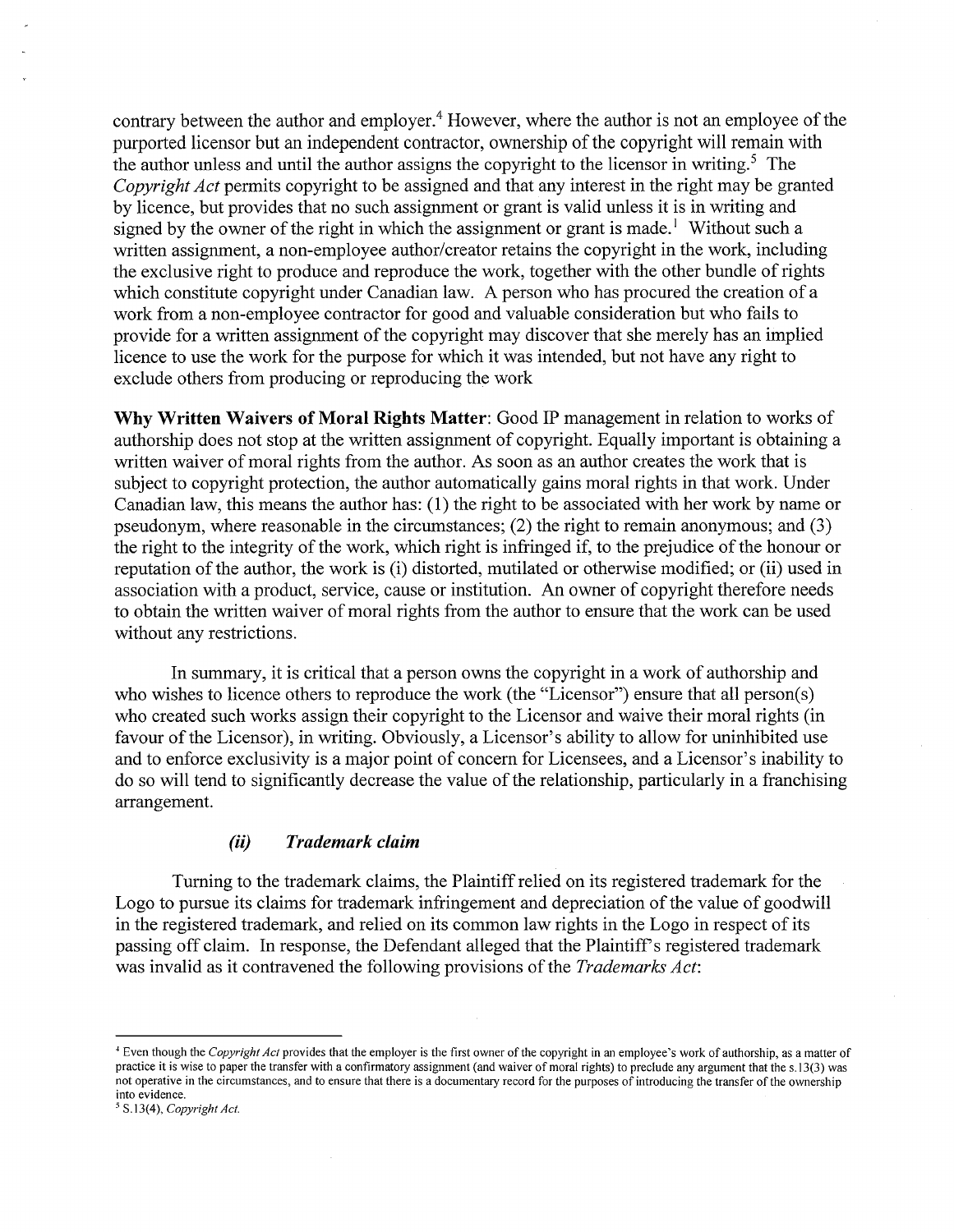contrary between the author and employer.<sup>4</sup> However, where the author is not an employee of the purported licensor but an independent contractor, ownership of the copyright will remain with the author unless and until the author assigns the copyright to the licensor in writing.<sup>5</sup> The *Copyright Act* permits copyright to be assigned and that any interest in the right may be granted by licence, but provides that no such assignment or grant is valid unless it is in writing and signed by the owner of the right in which the assignment or grant is made.<sup>1</sup> Without such a written assignment, a non-employee author/creator retains the copyright in the work, including the exclusive right to produce and reproduce the work, together with the other bundle of rights which constitute copyright under Canadian law. A person who has procured the creation of a work from a non-employee contractor for good and valuable consideration but who fails to provide for a written assignment of the copyright may discover that she merely has an implied licence to use the work for the purpose for which it was intended, but not have any right to exclude others from producing or reproducing the work

**Why Written Waivers of Moral Rights Matter:** Good IP management in relation to works of authorship does not stop at the written assignment of copyright. Equally important is obtaining a written waiver of moral rights from the author. As soon as an author creates the work that is subject to copyright protection, the author automatically gains moral rights in that work. Under Canadian law, this means the author has: (1) the right to be associated with her work by name or pseudonym, where reasonable in the circumstances; (2) the right to remain anonymous; and (3) the right to the integrity of the work, which right is infringed if, to the prejudice of the honour or reputation of the author, the work is (i) distorted, mutilated or otherwise modified; or (ii) used in association with a product, service, cause or institution. An owner of copyright therefore needs to obtain the written waiver of moral rights from the author to ensure that the work can be used without any restrictions.

In summary, it is critical that a person owns the copyright in a work of authorship and who wishes to licence others to reproduce the work (the "Licensor") ensure that all person(s) who created such works assign their copyright to the Licensor and waive their moral rights (in favour of the Licensor), in writing. Obviously, a Licensor's ability to allow for uninhibited use and to enforce exclusivity is a major point of concern for Licensees, and a Licensor's inability to do so will tend to significantly decrease the value of the relationship, particularly in a franchising arrangement.

### *(ii) Trademark claim*

Turning to the trademark claims, the Plaintiffrelied on its registered trademark for the Logo to pursue its claims for trademark infringement and depreciation of the value of goodwill in the registered trademark, and relied on its common law rights in the Logo in respect of its passing off claim. In response, the Defendant alleged that the Plaintiff's registered trademark was invalid as it contravened the following provisions of the *Trademarks Act*:

<sup>&</sup>lt;sup>+</sup> Even though the *Copyright Act* provides that the employer is the first owner of the copyright in an employee's work of authorship, as a matter of practice it is wise to paper the transfer with a confirmatory assignment (and waiver of moral rights) to preclude any argument that the s.l3(3) was not operative in the circumstances, and to ensure that there is a documentary record for the purposes ofintroducing the transfer ofthe ownership into evidence.

S.13(4), *Copyright Act.*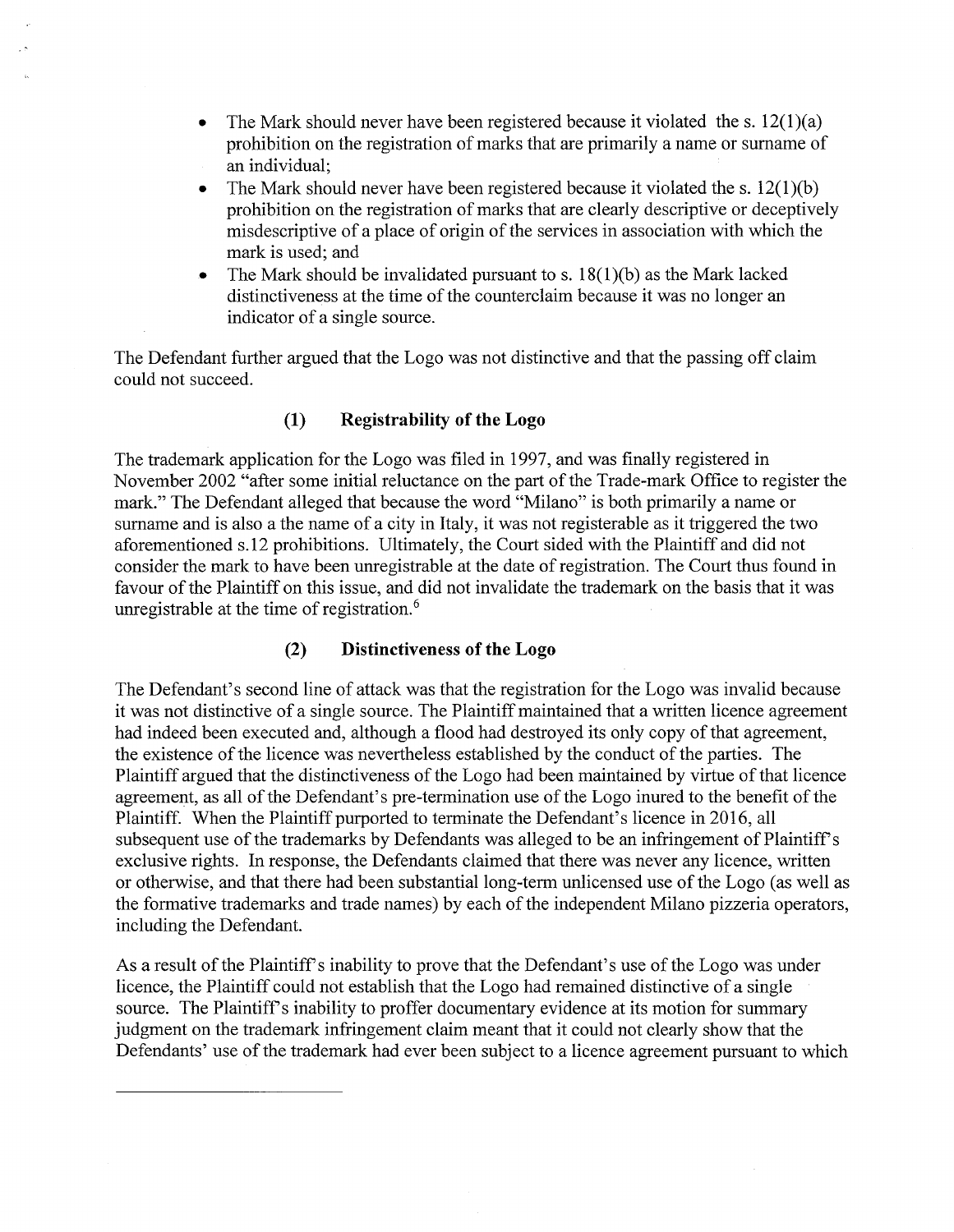- The Mark should never have been registered because it violated the s.  $12(1)(a)$ prohibition on the registration of marks that are primarily a name or surname of an individual;
- The Mark should never have been registered because it violated the s.  $12(1)(b)$ prohibition on the registration of marks that are clearly descriptive or deceptively misdescriptive of a place of origin of the services in association with which the mark is used; and
- The Mark should be invalidated pursuant to s.  $18(1)(b)$  as the Mark lacked distinctiveness at the time of the counterclaim because it was no longer an indicator of a single source.

The Defendant further argued that the Logo was not distinctive and that the passing off claim could not succeed.

# **(1)** Registrability of the Logo

The trademark application for the Logo was filed in 1997, and was finally registered in November 2002 "after some initial reluctance on the part of the Trade-mark Office to register the mark." The Defendant alleged that because the word "Milano" is both primarily a name or surname and is also a the name of a city in Italy, it was not registerable as it triggered the two aforementioned s.l2 prohibitions. Ultimately, the Court sided with the Plaintiff and did not consider the mark to have been unregistrable at the date of registration. The Court thus found in favour of the Plaintiff on this issue, and did not invalidate the trademark on the basis that it was unregistrable at the time of registration. $<sup>6</sup>$ </sup>

### **(2) Distinctiveness ofthe Logo**

The Defendant's second line of attack was that the registration for the Logo was invalid because it was not distinctive of a single source. The Plaintiff maintained that a written licence agreement had indeed been executed and, although a flood had destroyed its only copy of that agreement, the existence of the licence was nevertheless established by the conduct of the parties. The Plaintiff argued that the distinctiveness of the Logo had been maintained by virtue of that licence agreement, as all of the Defendant's pre-termination use of the Logo inured to the benefit of the Plaintiff. When the Plaintiff purported to terminate the Defendant's licence in 2016, all subsequent use of the trademarks by Defendants was alleged to be an infringement of Plaintiff's exclusive rights. In response, the Defendants claimed that there was never any licence, written or otherwise, and that there had been substantial long-term unlicensed use ofthe Logo (as well as the formative trademarks and trade names) by each of the independent Milano pizzeria operators, including the Defendant.

As a result of the Plaintiff's inability to prove that the Defendant's use of the Logo was under licence, the Plaintiff could not establish that the Logo had remained distinctive of a single source. The Plaintiff's inability to proffer documentary evidence at its motion for summary judgment on the trademark infringement claim meant that it could not clearly show that the Defendants' use of the trademark had ever been subject to a licence agreement pursuant to which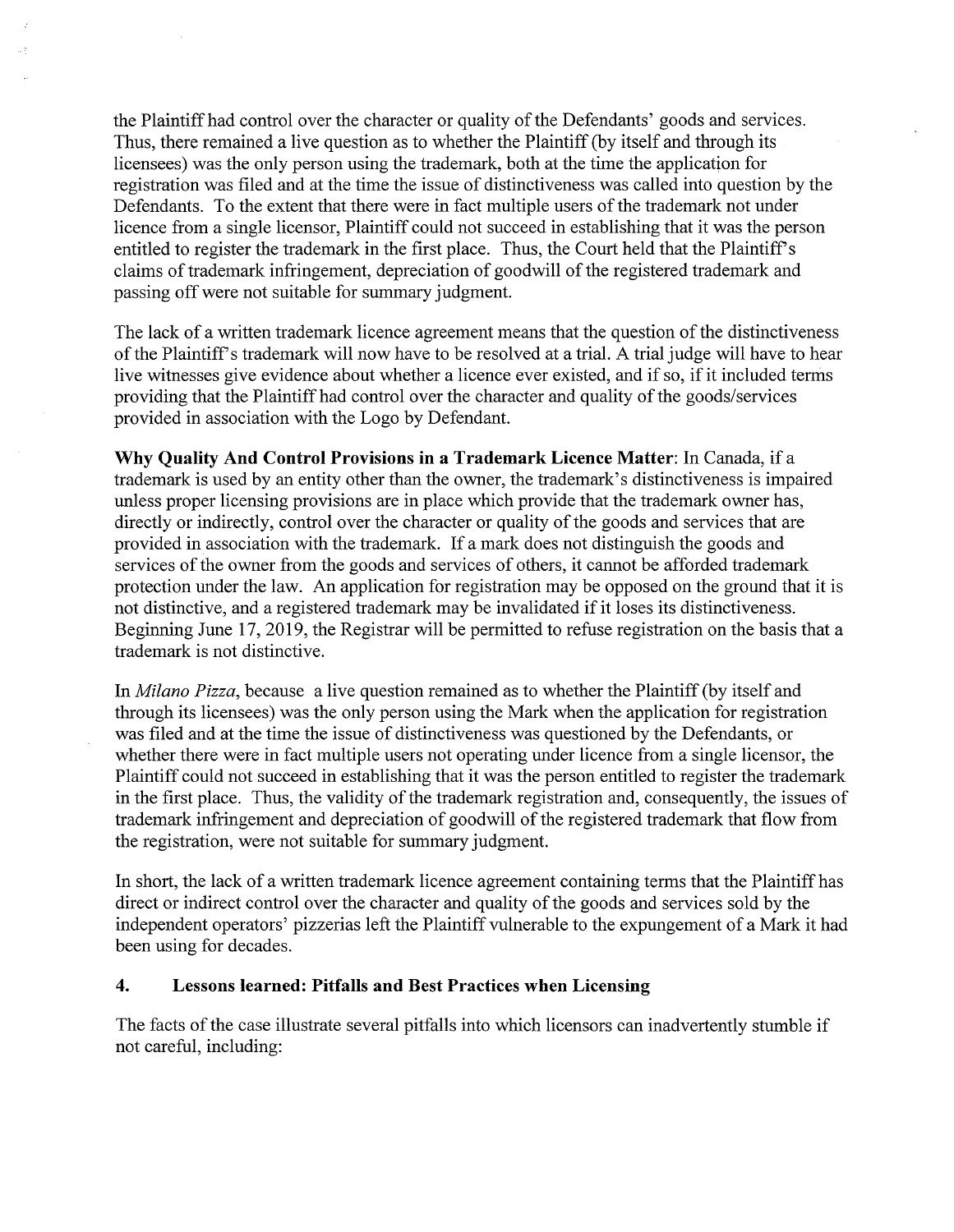the Plaintiff had control over the character or quality of the Defendants' goods and services. Thus, there remained a live question as to whether the Plaintiff(by itself and through its licensees) was the only person using the trademark, both at the time the application for registration was filed and at the time the issue of distinctiveness was called into question by the Defendants. To the extent that there were in fact multiple users of the trademark not under licence from a single licensor. Plaintiff could not succeed in establishing that it was the person entitled to register the trademark in the first place. Thus, the Court held that the Plaintiff's claims of trademark infringement, depreciation of goodwill of the registered trademark and passing offwere not suitable for summary judgment.

The lack of a written trademark licence agreement means that the question of the distinctiveness of the Plaintiff's trademark will now have to be resolved at a trial. A trial judge will have to hear live witnesses give evidence about whether a licence ever existed, and if so, if it included terms providing that the Plaintiff had control over the character and quality of the goods/services provided in association with the Logo by Defendant.

**Why Quality And Control Provisions in a Trademark Licence Matter:** In Canada, if a trademark is used by an entity other than the owner, the trademark's distinctiveness is impaired unless proper licensing provisions are in place which provide that the trademark owner has, directly or indirectly, control over the character or quality of the goods and services that are provided in association with the trademark. If a mark does not distinguish the goods and services of the owner from the goods and services of others, it cannot be afforded trademark protection under the law. An application for registration may be opposed on the ground that it is not distinctive, and a registered trademark may be invalidated if it loses its distinctiveness. Beginning June 17, 2019, the Registrar will be permitted to refuse registration on the basis that a trademark is not distinctive.

In *Milano Pizza,* because a live question remained as to whether the Plaintiff(by itself and through its licensees) was the only person using the Mark when the application for registration was filed and at the time the issue of distinctiveness was questioned by the Defendants, or whether there were in fact multiple users not operating under licence from a single licensor, the Plaintiff could not succeed in establishing that it was the person entitled to register the trademark in the first place. Thus, the validity of the trademark registration and, consequently, the issues of trademark infringement and depreciation of goodwill of the registered trademark that flow from the registration, were not suitable for summary judgment.

In short, the lack of a written trademark licence agreement containing terms that the Plaintiff has direct or indirect control over the character and quality of the goods and services sold by the independent operators' pizzerias left the Plaintiff vulnerable to the expungement of a Mark it had been using for decades.

## **4. Lessons learned: Pitfalls and Best Practices when Licensing**

The facts of the case illustrate several pitfalls into which licensors can inadvertently stumble if not careful, including: